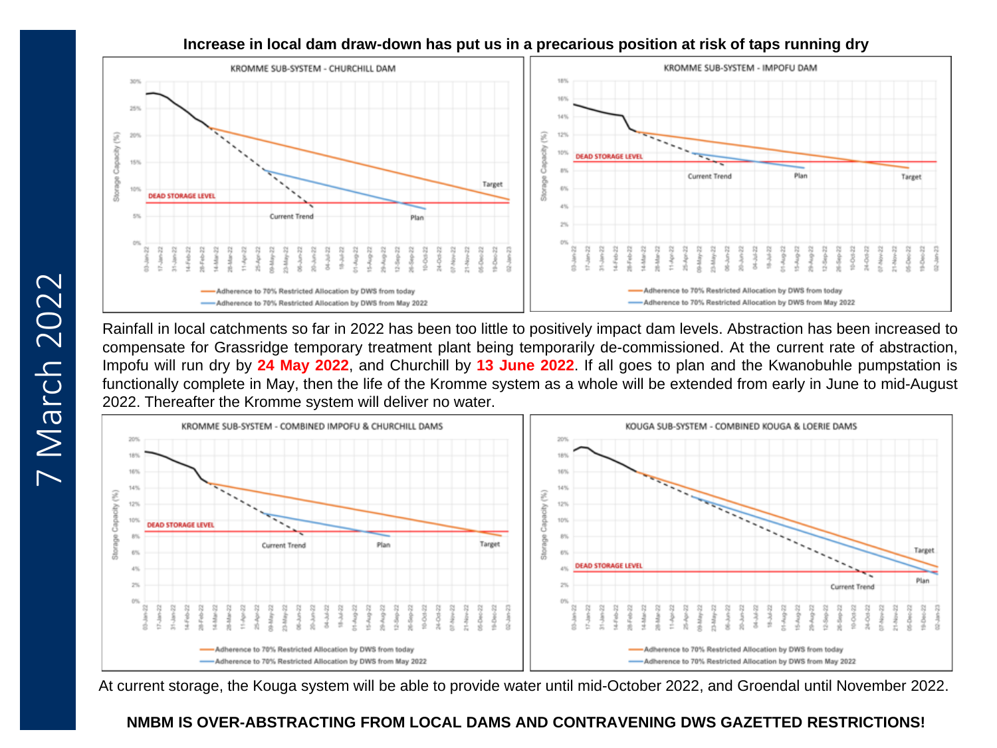## **Increase in local dam draw-down has put us in a precarious position at risk of taps running dry**



Rainfall in local catchments so far in 2022 has been too little to positively impact dam levels. Abstraction has been increased to compensate for Grassridge temporary treatment plant being temporarily de-commissioned. At the current rate of abstraction, Impofu will run dry by **24 May 2022**, and Churchill by **13 June 2022**. If all goes to plan and the Kwanobuhle pumpstation is functionally complete in May, then the life of the Kromme system as a whole will be extended from early in June to mid-August 2022. Thereafter the Kromme system will deliver no water.



At current storage, the Kouga system will be able to provide water until mid-October 2022, and Groendal until November 2022.

# **NMBM IS OVER-ABSTRACTING FROM LOCAL DAMS AND CONTRAVENING DWS GAZETTED RESTRICTIONS!**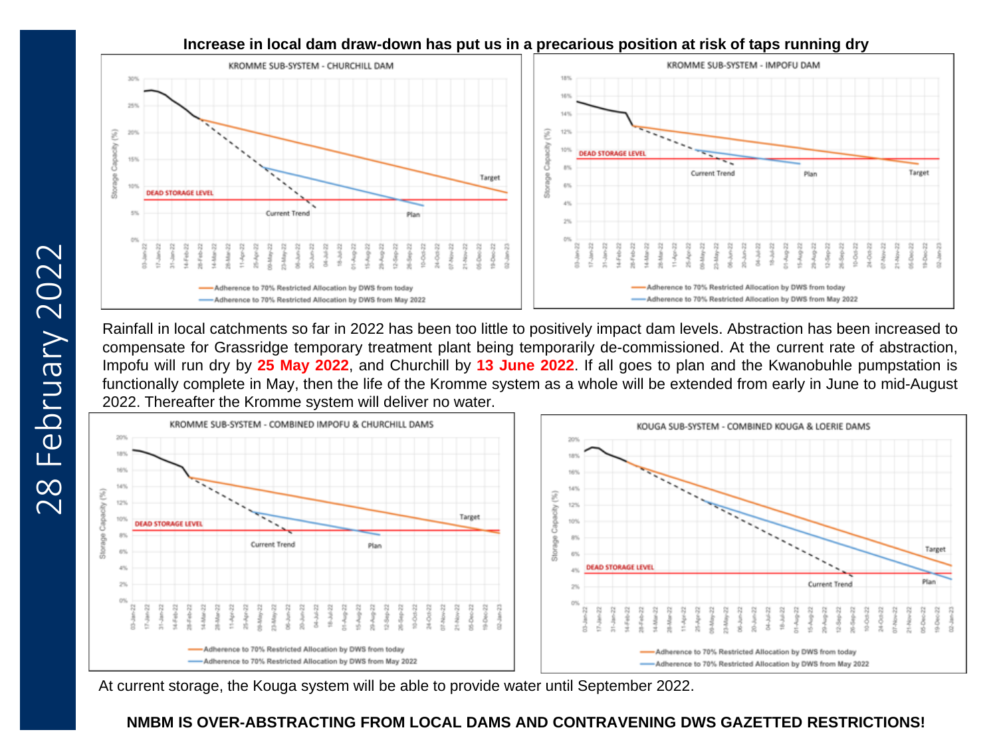

**Increase in local dam draw-down has put us in a precarious position at risk of taps running dry**

Rainfall in local catchments so far in 2022 has been too little to positively impact dam levels. Abstraction has been increased to compensate for Grassridge temporary treatment plant being temporarily de-commissioned. At the current rate of abstraction, Impofu will run dry by **25 May 2022**, and Churchill by **13 June 2022**. If all goes to plan and the Kwanobuhle pumpstation is functionally complete in May, then the life of the Kromme system as a whole will be extended from early in June to mid-August 2022. Thereafter the Kromme system will deliver no water.



At current storage, the Kouga system will be able to provide water until September 2022.

# **NMBM IS OVER-ABSTRACTING FROM LOCAL DAMS AND CONTRAVENING DWS GAZETTED RESTRICTIONS!**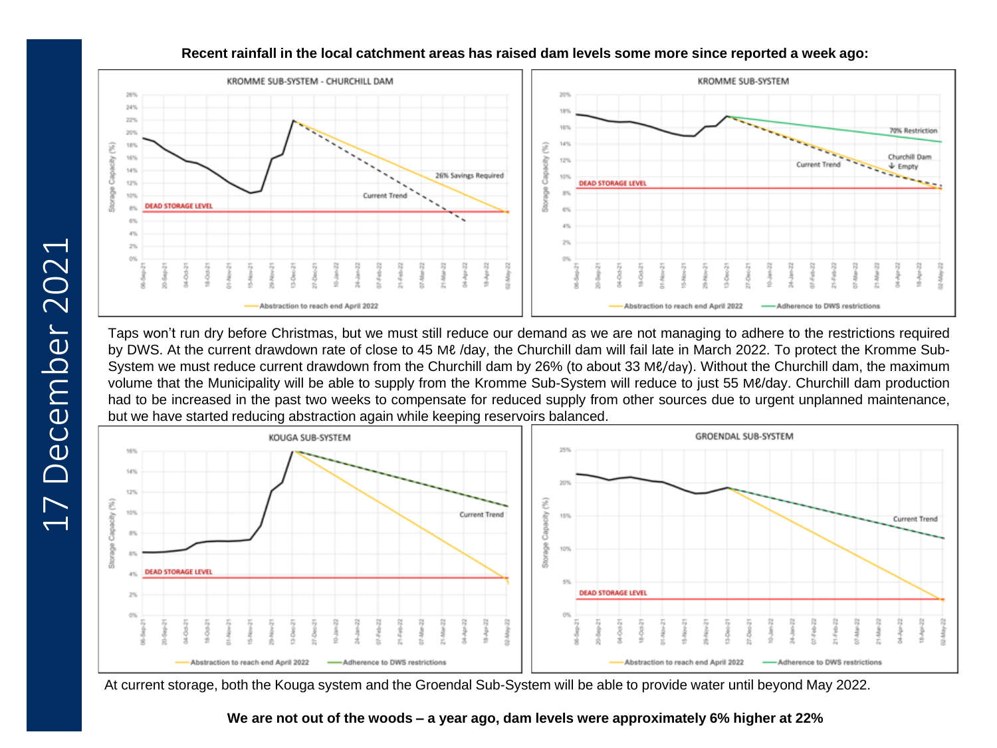

## **Recent rainfall in the local catchment areas has raised dam levels some more since reported a week ago:**

Taps won't run dry before Christmas, but we must still reduce our demand as we are not managing to adhere to the restrictions required by DWS. At the current drawdown rate of close to 45 Mℓ /day, the Churchill dam will fail late in March 2022. To protect the Kromme Sub-System we must reduce current drawdown from the Churchill dam by 26% (to about 33 Mℓ/day). Without the Churchill dam, the maximum volume that the Municipality will be able to supply from the Kromme Sub-System will reduce to just 55 Mℓ/day. Churchill dam production had to be increased in the past two weeks to compensate for reduced supply from other sources due to urgent unplanned maintenance, but we have started reducing abstraction again while keeping reservoirs balanced.



At current storage, both the Kouga system and the Groendal Sub-System will be able to provide water until beyond May 2022.

**We are not out of the woods – a year ago, dam levels were approximately 6% higher at 22%**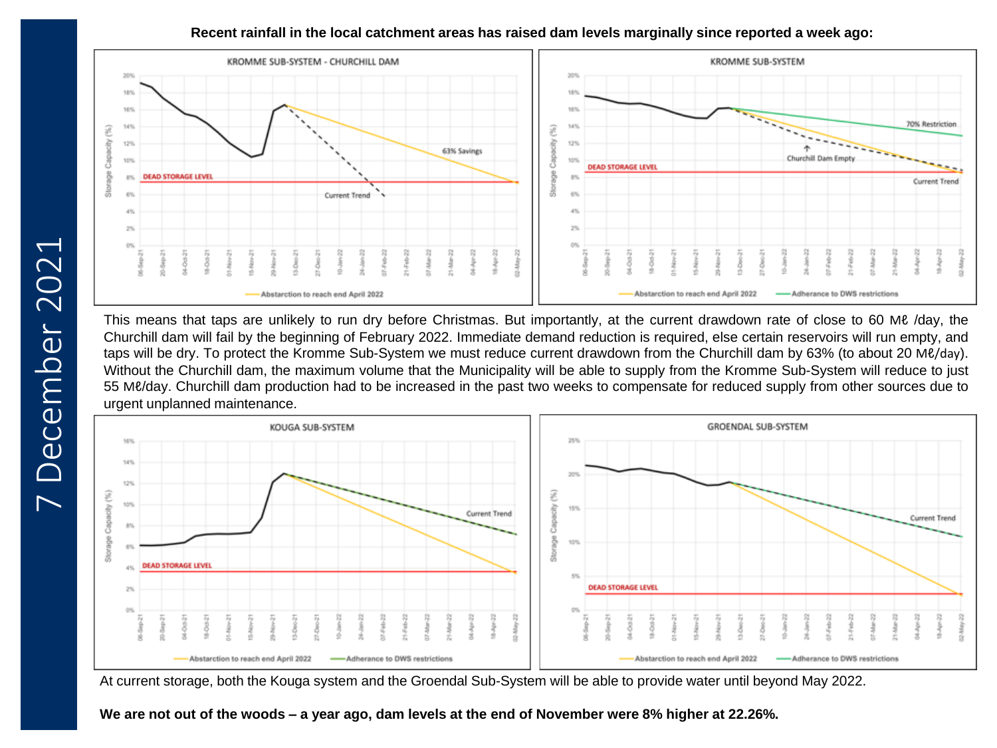#### **Recent rainfall in the local catchment areas has raised dam levels marginally since reported a week ago:**



This means that taps are unlikely to run dry before Christmas. But importantly, at the current drawdown rate of close to 60 Mℓ /day, the Churchill dam will fail by the beginning of February 2022. Immediate demand reduction is required, else certain reservoirs will run empty, and taps will be dry. To protect the Kromme Sub-System we must reduce current drawdown from the Churchill dam by 63% (to about 20 Mℓ/day). Without the Churchill dam, the maximum volume that the Municipality will be able to supply from the Kromme Sub-System will reduce to just 55 Mℓ/day. Churchill dam production had to be increased in the past two weeks to compensate for reduced supply from other sources due to urgent unplanned maintenance.



At current storage, both the Kouga system and the Groendal Sub-System will be able to provide water until beyond May 2022.

We are not out of the woods – a year ago, dam levels at the end of November were 8% higher at 22.26%.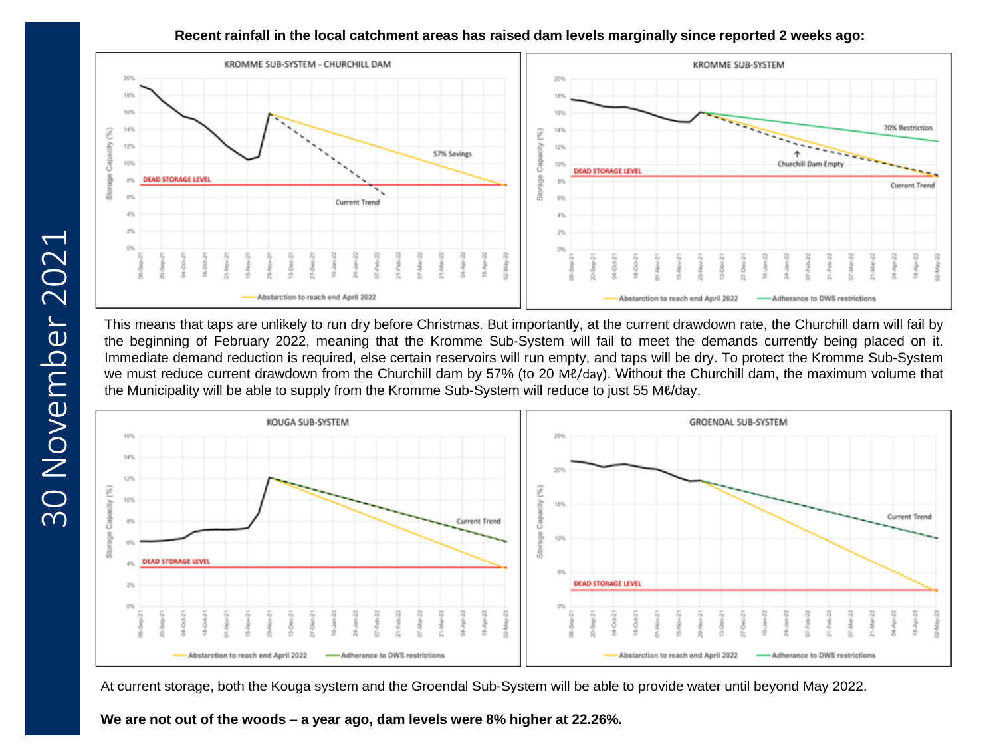### **Recent rainfall in the local catchment areas has raised dam levels marginally since reported 2 weeks ago:**



This means that taps are unlikely to run dry before Christmas. But importantly, at the current drawdown rate, the Churchill dam will fail by the beginning of February 2022, meaning that the Kromme Sub-System will fail to meet the demands currently being placed on it. Immediate demand reduction is required, else certain reservoirs will run empty, and taps will be dry. To protect the Kromme Sub-System we must reduce current drawdown from the Churchill dam by 57% (to 20 Mℓ/day). Without the Churchill dam, the maximum volume that the Municipality will be able to supply from the Kromme Sub-System will reduce to just 55 Mℓ/day.



At current storage, both the Kouga system and the Groendal Sub-System will be able to provide water until beyond May 2022.

**We are not out of the woods – a year ago, dam levels were 8% higher at 22.26%.**